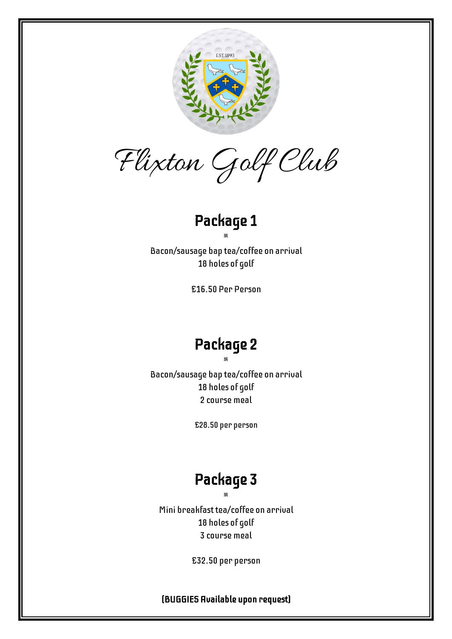

Flixton Golf Club

## Package 1

Bacon/sausage bap tea/coffee on arrival 18 holes of golf

 $\mathcal{R}$ 

£16.50 Per Person

# Package 2

 $\mathcal{R}$ Bacon/sausage bap tea/coffee on arrival 18 holes of golf 2 course meal

£28.50 per person

# Package 3

 $\mathcal{R}$ Mini breakfast tea/coffee on arrival 18 holes of golf 3 course meal

£32.50 per person

(BUGGIES Available upon request)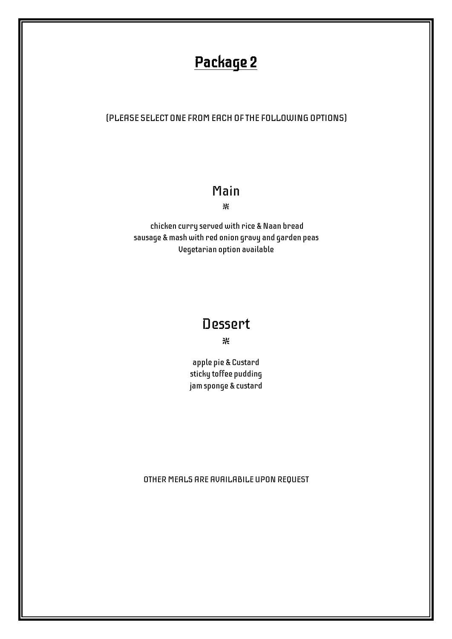# Package 2

#### (PLEASE SELECT ONE FROM EACH OF THE FOLLOWING OPTIONS)

#### Main

 $\mathcal{R}$ 

chicken curry served with rice & Naan bread sausage & mash with red onion gravy and garden peas Vegetarian option available

### Dessert

 $\mathcal{H}$  and  $\mathcal{H}$  are the set of  $\mathcal{H}$  and  $\mathcal{H}$  are the set of  $\mathcal{H}$ 

apple pie & Custard sticky toffee pudding jam sponge & custard

OTHER MEALS ARE AVAILABILE UPONREQUEST